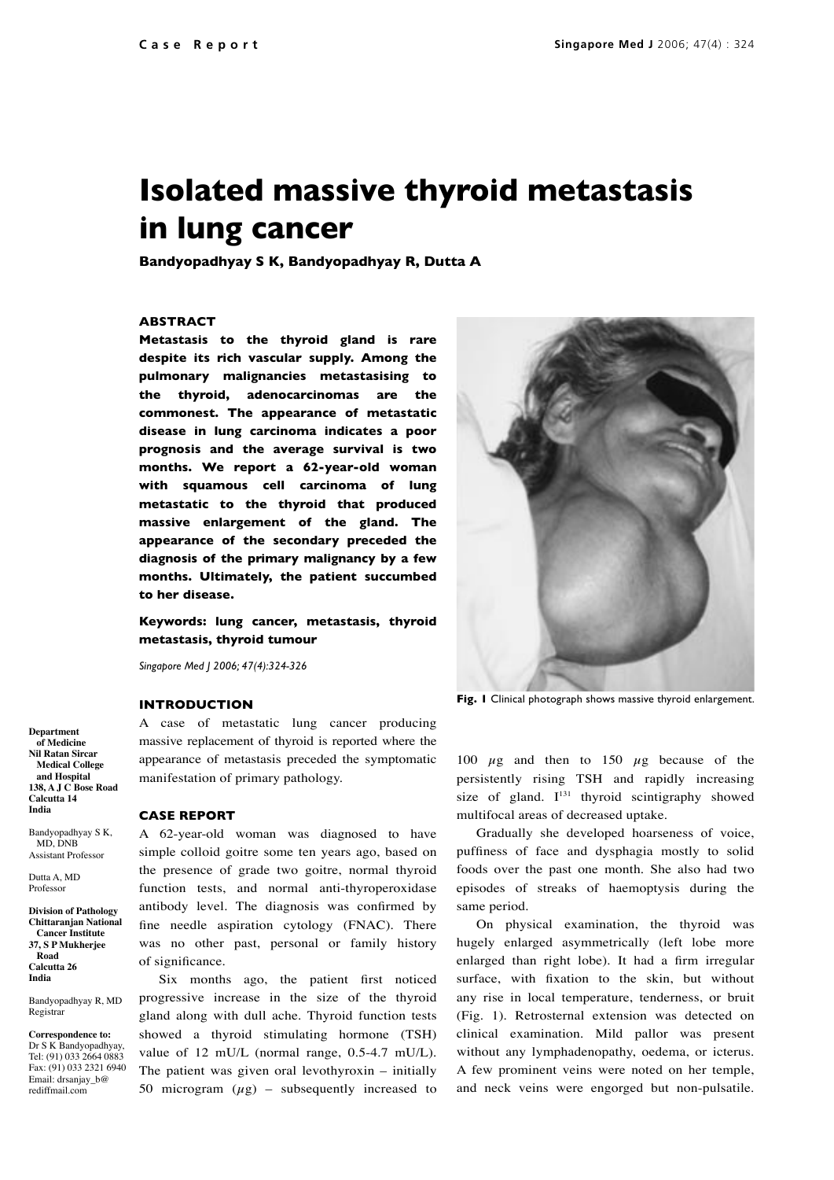# **Isolated massive thyroid metastasis in lung cancer**

**Bandyopadhyay S K, Bandyopadhyay R, Dutta A**

# **ABSTRACT**

**Metastasis to the thyroid gland is rare despite its rich vascular supply. Among the pulmonary malignancies metastasising to the thyroid, adenocarcinomas are the commonest. The appearance of metastatic disease in lung carcinoma indicates a poor prognosis and the average survival is two months. We report a 62-year-old woman with squamous cell carcinoma of lung metastatic to the thyroid that produced massive enlargement of the gland. The appearance of the secondary preceded the diagnosis of the primary malignancy by a few months. Ultimately, the patient succumbed to her disease.**

**Keywords: lung cancer, metastasis, thyroid metastasis, thyroid tumour**

*Singapore Med J 2006; 47(4):324-326*

# **INTRODUCTION**

A case of metastatic lung cancer producing massive replacement of thyroid is reported where the appearance of metastasis preceded the symptomatic manifestation of primary pathology.

#### **CASE REPORT**

A 62-year-old woman was diagnosed to have simple colloid goitre some ten years ago, based on the presence of grade two goitre, normal thyroid function tests, and normal anti-thyroperoxidase antibody level. The diagnosis was confirmed by fine needle aspiration cytology (FNAC). There was no other past, personal or family history of significance.

Six months ago, the patient first noticed progressive increase in the size of the thyroid gland along with dull ache. Thyroid function tests showed a thyroid stimulating hormone (TSH) value of 12 mU/L (normal range, 0.5-4.7 mU/L). The patient was given oral levothyroxin – initially 50 microgram  $(\mu g)$  – subsequently increased to



**Fig. 1** Clinical photograph shows massive thyroid enlargement.

100  $\mu$ g and then to 150  $\mu$ g because of the persistently rising TSH and rapidly increasing size of gland.  $I^{131}$  thyroid scintigraphy showed multifocal areas of decreased uptake.

Gradually she developed hoarseness of voice, puffiness of face and dysphagia mostly to solid foods over the past one month. She also had two episodes of streaks of haemoptysis during the same period.

On physical examination, the thyroid was hugely enlarged asymmetrically (left lobe more enlarged than right lobe). It had a firm irregular surface, with fixation to the skin, but without any rise in local temperature, tenderness, or bruit (Fig. 1). Retrosternal extension was detected on clinical examination. Mild pallor was present without any lymphadenopathy, oedema, or icterus. A few prominent veins were noted on her temple, and neck veins were engorged but non-pulsatile.

**Department of Medicine Nil Ratan Sircar Medical College and Hospital 138, A J C Bose Road Calcutta 14 India** 

Bandyopadhyay S K, MD, DNB Assistant Professor

Dutta A, MD Professor

**Division of Pathology Chittaranjan National Cancer Institute 37, S P Mukherjee Road Calcutta 26 India** 

Bandyopadhyay R, MD Registrar

**Correspondence to:** Dr S K Bandyopadhyay, Tel: (91) 033 2664 0883 Fax: (91) 033 2321 6940 Email: drsanjay\_b@ rediffmail.com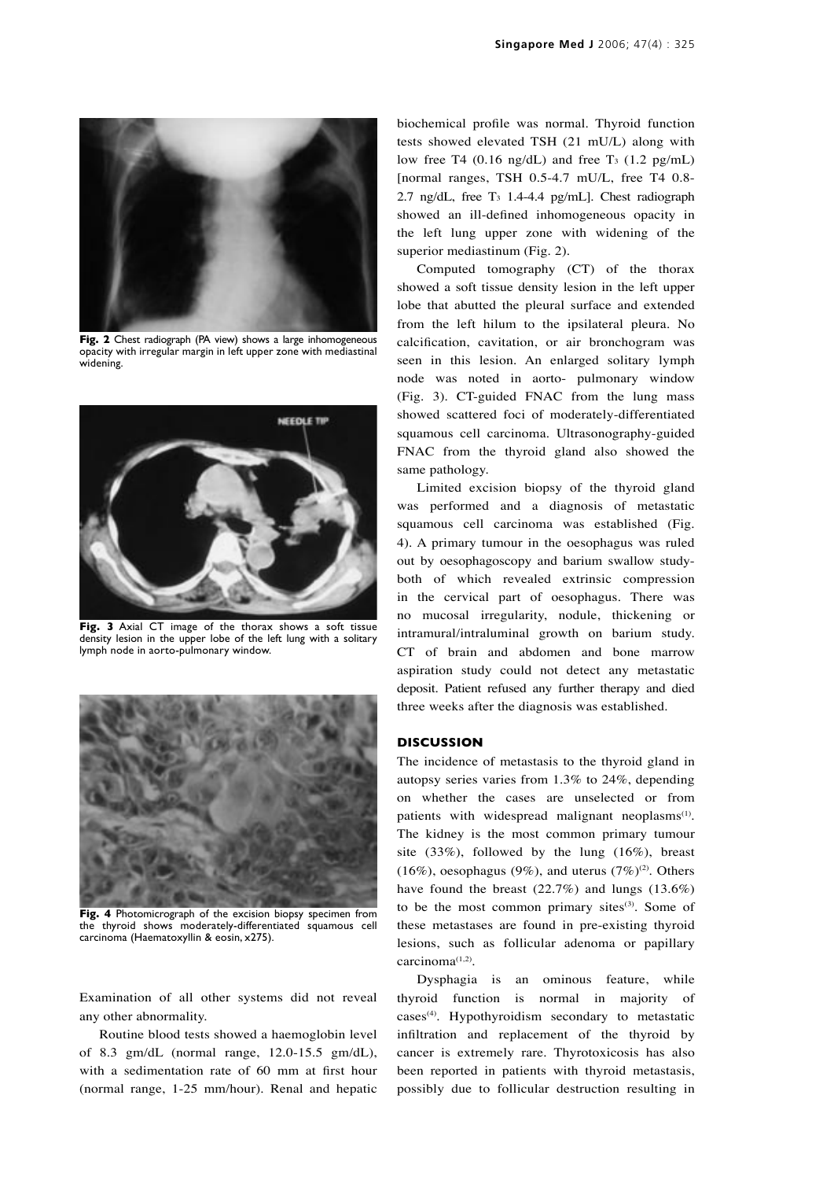

**Fig. 2** Chest radiograph (PA view) shows a large inhomogeneous opacity with irregular margin in left upper zone with mediastinal widening.



**Fig. 3** Axial CT image of the thorax shows a soft tissue density lesion in the upper lobe of the left lung with a solitary lymph node in aorto-pulmonary window.



**Fig. 4** Photomicrograph of the excision biopsy specimen from the thyroid shows moderately-differentiated squamous cell carcinoma (Haematoxyllin & eosin, x275).

Examination of all other systems did not reveal any other abnormality.

Routine blood tests showed a haemoglobin level of 8.3 gm/dL (normal range, 12.0-15.5 gm/dL), with a sedimentation rate of 60 mm at first hour (normal range, 1-25 mm/hour). Renal and hepatic biochemical profile was normal. Thyroid function tests showed elevated TSH (21 mU/L) along with low free T4  $(0.16 \text{ ng/dL})$  and free T<sub>3</sub>  $(1.2 \text{ pg/mL})$ [normal ranges, TSH 0.5-4.7 mU/L, free T4 0.8- 2.7 ng/dL, free  $T_3$  1.4-4.4 pg/mL]. Chest radiograph showed an ill-defined inhomogeneous opacity in the left lung upper zone with widening of the superior mediastinum (Fig. 2).

Computed tomography (CT) of the thorax showed a soft tissue density lesion in the left upper lobe that abutted the pleural surface and extended from the left hilum to the ipsilateral pleura. No calcification, cavitation, or air bronchogram was seen in this lesion. An enlarged solitary lymph node was noted in aorto- pulmonary window (Fig. 3). CT-guided FNAC from the lung mass showed scattered foci of moderately-differentiated squamous cell carcinoma. Ultrasonography-guided FNAC from the thyroid gland also showed the same pathology.

Limited excision biopsy of the thyroid gland was performed and a diagnosis of metastatic squamous cell carcinoma was established (Fig. 4). A primary tumour in the oesophagus was ruled out by oesophagoscopy and barium swallow studyboth of which revealed extrinsic compression in the cervical part of oesophagus. There was no mucosal irregularity, nodule, thickening or intramural/intraluminal growth on barium study. CT of brain and abdomen and bone marrow aspiration study could not detect any metastatic deposit. Patient refused any further therapy and died three weeks after the diagnosis was established.

# **DISCUSSION**

The incidence of metastasis to the thyroid gland in autopsy series varies from 1.3% to 24%, depending on whether the cases are unselected or from patients with widespread malignant neoplasms<sup>(1)</sup>. The kidney is the most common primary tumour site (33%), followed by the lung (16%), breast (16%), oesophagus (9%), and uterus (7%)<sup>(2)</sup>. Others have found the breast  $(22.7%)$  and lungs  $(13.6%)$ to be the most common primary sites $(3)$ . Some of these metastases are found in pre-existing thyroid lesions, such as follicular adenoma or papillary carcinoma<sup>(1,2)</sup>.

Dysphagia is an ominous feature, while thyroid function is normal in majority of cases<sup>(4)</sup>. Hypothyroidism secondary to metastatic infiltration and replacement of the thyroid by cancer is extremely rare. Thyrotoxicosis has also been reported in patients with thyroid metastasis, possibly due to follicular destruction resulting in